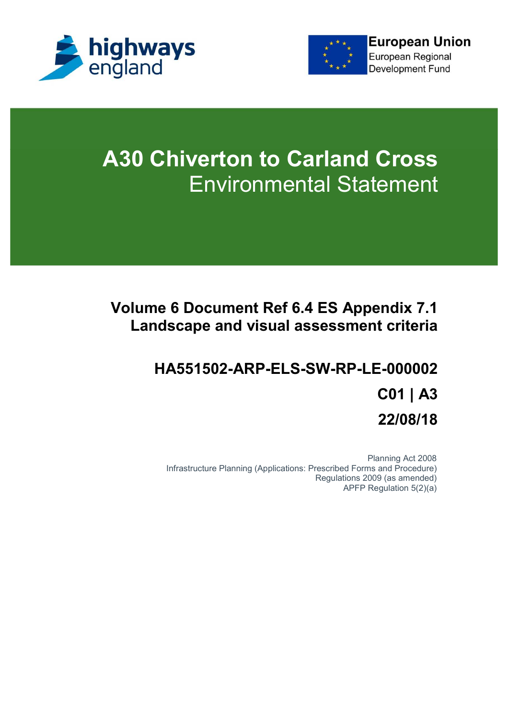



# **A30 Chiverton to Carland Cross** Environmental Statement

# **Volume 6 Document Ref 6.4 ES Appendix 7.1 Landscape and visual assessment criteria**

# **HA551502-ARP-ELS-SW-RP-LE-000002 C01 | A3 22/08/18**

Planning Act 2008 Infrastructure Planning (Applications: Prescribed Forms and Procedure) Regulations 2009 (as amended) APFP Regulation 5(2)(a)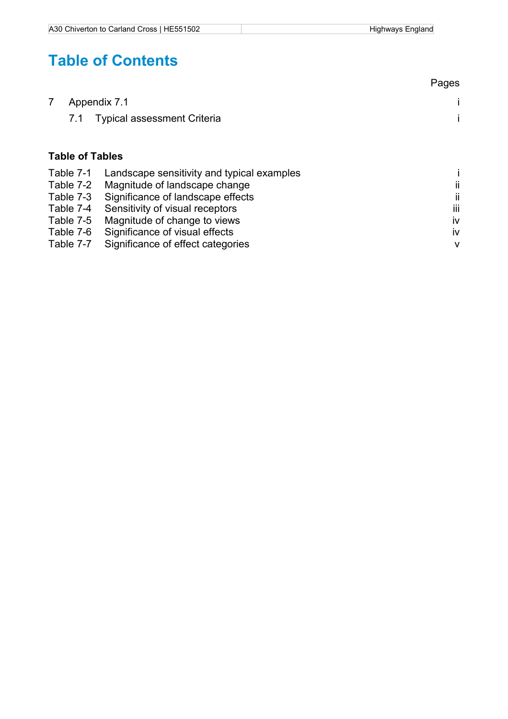# **Table of Contents**

|                        |                                            | Pages        |
|------------------------|--------------------------------------------|--------------|
|                        | Appendix 7.1                               |              |
| 7.1                    | <b>Typical assessment Criteria</b>         |              |
| <b>Table of Tables</b> |                                            |              |
| Table 7-1              | Landscape sensitivity and typical examples |              |
| Table 7-2              | Magnitude of landscape change              | ii           |
| Table 7-3              | Significance of landscape effects          | ii           |
| Table 7-4              | Sensitivity of visual receptors            | Ϊij          |
| Table 7-5              | Magnitude of change to views               | iv           |
| $T_2$ blo 7 $\beta$    | Significance of vigual offects             | $\mathbf{u}$ |

#### Table 7-6 Significance of visual effects<br>Table 7-7 Significance of effect categories iversity in the set of the control of the control of the control o Table 7-7 Significance of effect categories v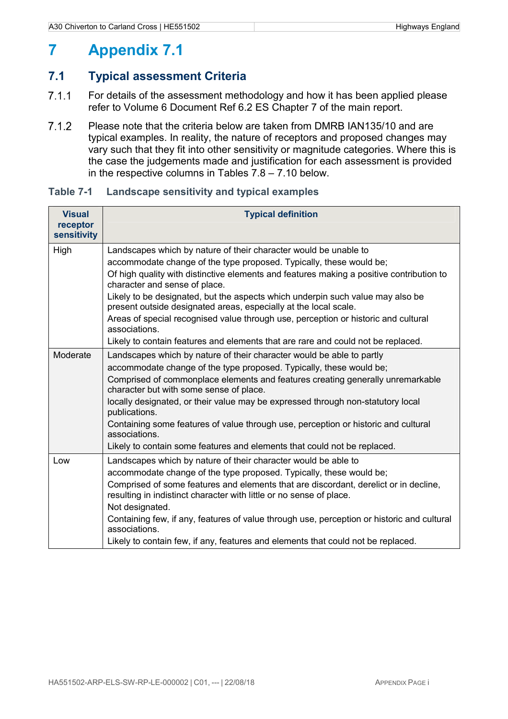# **7 Appendix 7.1**

## **7.1 Typical assessment Criteria**

- 7.1.1 For details of the assessment methodology and how it has been applied please refer to Volume 6 Document Ref 6.2 ES Chapter 7 of the main report.
- Please note that the criteria below are taken from DMRB IAN135/10 and are typical examples. In reality, the nature of receptors and proposed changes may vary such that they fit into other sensitivity or magnitude categories. Where this is the case the judgements made and justification for each assessment is provided in the respective columns in Tables 7.8 – 7.10 below.

| <b>Visual</b><br>receptor<br>sensitivity | <b>Typical definition</b>                                                                                                                                   |
|------------------------------------------|-------------------------------------------------------------------------------------------------------------------------------------------------------------|
| High                                     | Landscapes which by nature of their character would be unable to                                                                                            |
|                                          | accommodate change of the type proposed. Typically, these would be;                                                                                         |
|                                          | Of high quality with distinctive elements and features making a positive contribution to<br>character and sense of place.                                   |
|                                          | Likely to be designated, but the aspects which underpin such value may also be<br>present outside designated areas, especially at the local scale.          |
|                                          | Areas of special recognised value through use, perception or historic and cultural<br>associations.                                                         |
|                                          | Likely to contain features and elements that are rare and could not be replaced.                                                                            |
| Moderate                                 | Landscapes which by nature of their character would be able to partly                                                                                       |
|                                          | accommodate change of the type proposed. Typically, these would be;                                                                                         |
|                                          | Comprised of commonplace elements and features creating generally unremarkable<br>character but with some sense of place.                                   |
|                                          | locally designated, or their value may be expressed through non-statutory local<br>publications.                                                            |
|                                          | Containing some features of value through use, perception or historic and cultural<br>associations.                                                         |
|                                          | Likely to contain some features and elements that could not be replaced.                                                                                    |
| Low                                      | Landscapes which by nature of their character would be able to                                                                                              |
|                                          | accommodate change of the type proposed. Typically, these would be;                                                                                         |
|                                          | Comprised of some features and elements that are discordant, derelict or in decline,<br>resulting in indistinct character with little or no sense of place. |
|                                          | Not designated.                                                                                                                                             |
|                                          | Containing few, if any, features of value through use, perception or historic and cultural<br>associations.                                                 |
|                                          | Likely to contain few, if any, features and elements that could not be replaced.                                                                            |

#### **Table 7-1 Landscape sensitivity and typical examples**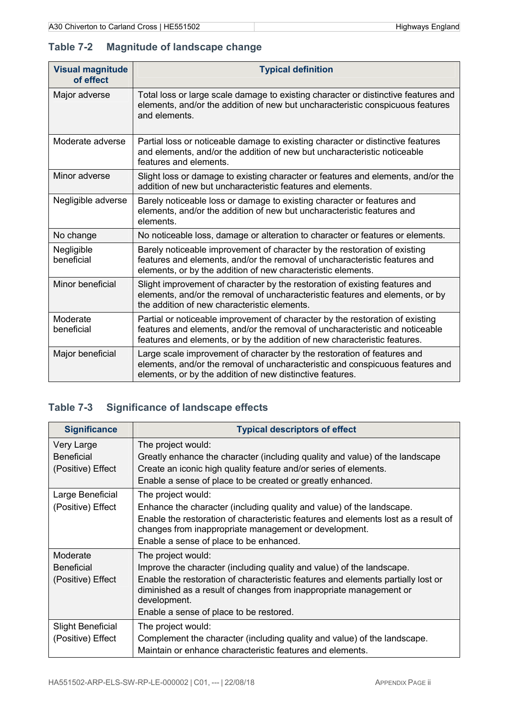### **Table 7-2 Magnitude of landscape change**

| <b>Visual magnitude</b><br>of effect | <b>Typical definition</b>                                                                                                                                                                                                                  |  |  |
|--------------------------------------|--------------------------------------------------------------------------------------------------------------------------------------------------------------------------------------------------------------------------------------------|--|--|
| Major adverse                        | Total loss or large scale damage to existing character or distinctive features and<br>elements, and/or the addition of new but uncharacteristic conspicuous features<br>and elements.                                                      |  |  |
| Moderate adverse                     | Partial loss or noticeable damage to existing character or distinctive features<br>and elements, and/or the addition of new but uncharacteristic noticeable<br>features and elements.                                                      |  |  |
| Minor adverse                        | Slight loss or damage to existing character or features and elements, and/or the<br>addition of new but uncharacteristic features and elements.                                                                                            |  |  |
| Negligible adverse                   | Barely noticeable loss or damage to existing character or features and<br>elements, and/or the addition of new but uncharacteristic features and<br>elements.                                                                              |  |  |
| No change                            | No noticeable loss, damage or alteration to character or features or elements.                                                                                                                                                             |  |  |
| Negligible<br>beneficial             | Barely noticeable improvement of character by the restoration of existing<br>features and elements, and/or the removal of uncharacteristic features and<br>elements, or by the addition of new characteristic elements.                    |  |  |
| Minor beneficial                     | Slight improvement of character by the restoration of existing features and<br>elements, and/or the removal of uncharacteristic features and elements, or by<br>the addition of new characteristic elements.                               |  |  |
| Moderate<br>beneficial               | Partial or noticeable improvement of character by the restoration of existing<br>features and elements, and/or the removal of uncharacteristic and noticeable<br>features and elements, or by the addition of new characteristic features. |  |  |
| Major beneficial                     | Large scale improvement of character by the restoration of features and<br>elements, and/or the removal of uncharacteristic and conspicuous features and<br>elements, or by the addition of new distinctive features.                      |  |  |

## **Table 7-3 Significance of landscape effects**

| <b>Significance</b>                                  | <b>Typical descriptors of effect</b>                                                                                                                                                                                                                                                                             |  |  |  |
|------------------------------------------------------|------------------------------------------------------------------------------------------------------------------------------------------------------------------------------------------------------------------------------------------------------------------------------------------------------------------|--|--|--|
| Very Large<br><b>Beneficial</b><br>(Positive) Effect | The project would:<br>Greatly enhance the character (including quality and value) of the landscape<br>Create an iconic high quality feature and/or series of elements.<br>Enable a sense of place to be created or greatly enhanced.                                                                             |  |  |  |
| Large Beneficial<br>(Positive) Effect                | The project would:<br>Enhance the character (including quality and value) of the landscape.<br>Enable the restoration of characteristic features and elements lost as a result of<br>changes from inappropriate management or development.<br>Enable a sense of place to be enhanced.                            |  |  |  |
| Moderate<br><b>Beneficial</b><br>(Positive) Effect   | The project would:<br>Improve the character (including quality and value) of the landscape.<br>Enable the restoration of characteristic features and elements partially lost or<br>diminished as a result of changes from inappropriate management or<br>development.<br>Enable a sense of place to be restored. |  |  |  |
| <b>Slight Beneficial</b><br>(Positive) Effect        | The project would:<br>Complement the character (including quality and value) of the landscape.<br>Maintain or enhance characteristic features and elements.                                                                                                                                                      |  |  |  |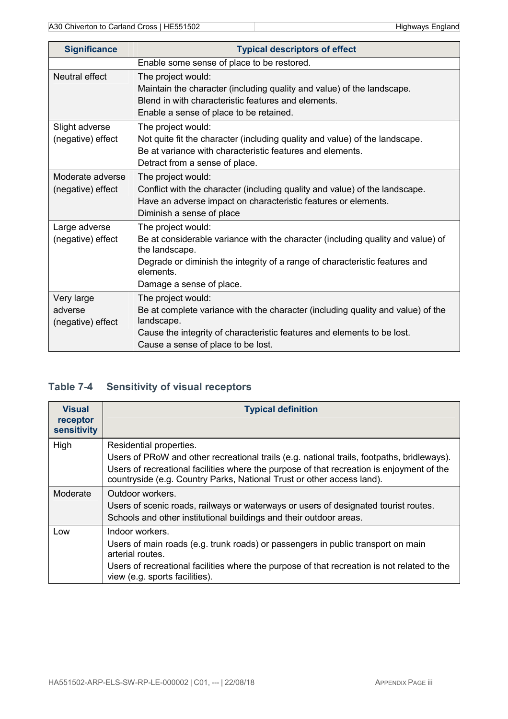| <b>Significance</b>                        | <b>Typical descriptors of effect</b>                                                                                                                                                                                                            |  |  |  |
|--------------------------------------------|-------------------------------------------------------------------------------------------------------------------------------------------------------------------------------------------------------------------------------------------------|--|--|--|
|                                            | Enable some sense of place to be restored.                                                                                                                                                                                                      |  |  |  |
| Neutral effect                             | The project would:<br>Maintain the character (including quality and value) of the landscape.<br>Blend in with characteristic features and elements.<br>Enable a sense of place to be retained.                                                  |  |  |  |
| Slight adverse<br>(negative) effect        | The project would:<br>Not quite fit the character (including quality and value) of the landscape.<br>Be at variance with characteristic features and elements.<br>Detract from a sense of place.                                                |  |  |  |
| Moderate adverse<br>(negative) effect      | The project would:<br>Conflict with the character (including quality and value) of the landscape.<br>Have an adverse impact on characteristic features or elements.<br>Diminish a sense of place                                                |  |  |  |
| Large adverse<br>(negative) effect         | The project would:<br>Be at considerable variance with the character (including quality and value) of<br>the landscape.<br>Degrade or diminish the integrity of a range of characteristic features and<br>elements.<br>Damage a sense of place. |  |  |  |
| Very large<br>adverse<br>(negative) effect | The project would:<br>Be at complete variance with the character (including quality and value) of the<br>landscape.<br>Cause the integrity of characteristic features and elements to be lost.<br>Cause a sense of place to be lost.            |  |  |  |

# **Table 7-4 Sensitivity of visual receptors**

| <b>Visual</b>           | <b>Typical definition</b>                                                                                                                                                                                                                                                                    |
|-------------------------|----------------------------------------------------------------------------------------------------------------------------------------------------------------------------------------------------------------------------------------------------------------------------------------------|
| receptor<br>sensitivity |                                                                                                                                                                                                                                                                                              |
| High                    | Residential properties.<br>Users of PRoW and other recreational trails (e.g. national trails, footpaths, bridleways).<br>Users of recreational facilities where the purpose of that recreation is enjoyment of the<br>countryside (e.g. Country Parks, National Trust or other access land). |
| Moderate                | Outdoor workers.<br>Users of scenic roads, railways or waterways or users of designated tourist routes.<br>Schools and other institutional buildings and their outdoor areas.                                                                                                                |
| Low                     | Indoor workers.<br>Users of main roads (e.g. trunk roads) or passengers in public transport on main<br>arterial routes.<br>Users of recreational facilities where the purpose of that recreation is not related to the<br>view (e.g. sports facilities).                                     |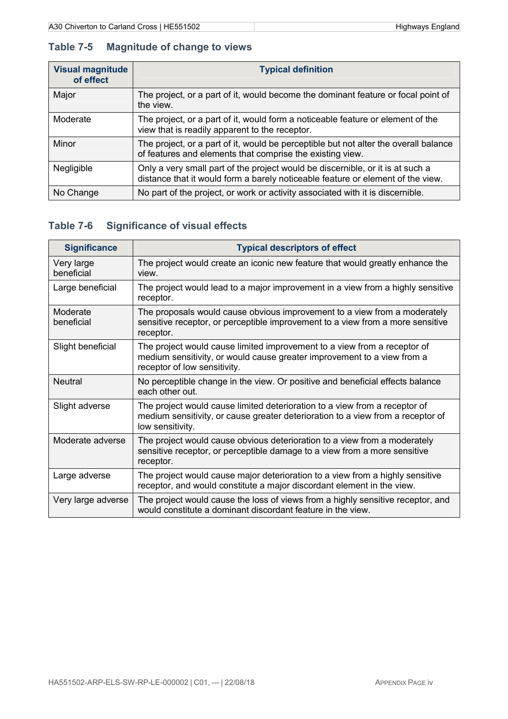### **Table 7-5 Magnitude of change to views**

| <b>Visual magnitude</b><br>of effect | <b>Typical definition</b>                                                                                                                                         |  |  |
|--------------------------------------|-------------------------------------------------------------------------------------------------------------------------------------------------------------------|--|--|
| Major                                | The project, or a part of it, would become the dominant feature or focal point of<br>the view.                                                                    |  |  |
| Moderate                             | The project, or a part of it, would form a noticeable feature or element of the<br>view that is readily apparent to the receptor.                                 |  |  |
| Minor                                | The project, or a part of it, would be perceptible but not alter the overall balance<br>of features and elements that comprise the existing view.                 |  |  |
| Negligible                           | Only a very small part of the project would be discernible, or it is at such a<br>distance that it would form a barely noticeable feature or element of the view. |  |  |
| No Change                            | No part of the project, or work or activity associated with it is discernible.                                                                                    |  |  |

# **Table 7-6 Significance of visual effects**

| <b>Significance</b>      | <b>Typical descriptors of effect</b>                                                                                                                                                |
|--------------------------|-------------------------------------------------------------------------------------------------------------------------------------------------------------------------------------|
| Very large<br>beneficial | The project would create an iconic new feature that would greatly enhance the<br>view.                                                                                              |
| Large beneficial         | The project would lead to a major improvement in a view from a highly sensitive<br>receptor.                                                                                        |
| Moderate<br>beneficial   | The proposals would cause obvious improvement to a view from a moderately<br>sensitive receptor, or perceptible improvement to a view from a more sensitive<br>receptor.            |
| Slight beneficial        | The project would cause limited improvement to a view from a receptor of<br>medium sensitivity, or would cause greater improvement to a view from a<br>receptor of low sensitivity. |
| <b>Neutral</b>           | No perceptible change in the view. Or positive and beneficial effects balance<br>each other out.                                                                                    |
| Slight adverse           | The project would cause limited deterioration to a view from a receptor of<br>medium sensitivity, or cause greater deterioration to a view from a receptor of<br>low sensitivity.   |
| Moderate adverse         | The project would cause obvious deterioration to a view from a moderately<br>sensitive receptor, or perceptible damage to a view from a more sensitive<br>receptor.                 |
| Large adverse            | The project would cause major deterioration to a view from a highly sensitive<br>receptor, and would constitute a major discordant element in the view.                             |
| Very large adverse       | The project would cause the loss of views from a highly sensitive receptor, and<br>would constitute a dominant discordant feature in the view.                                      |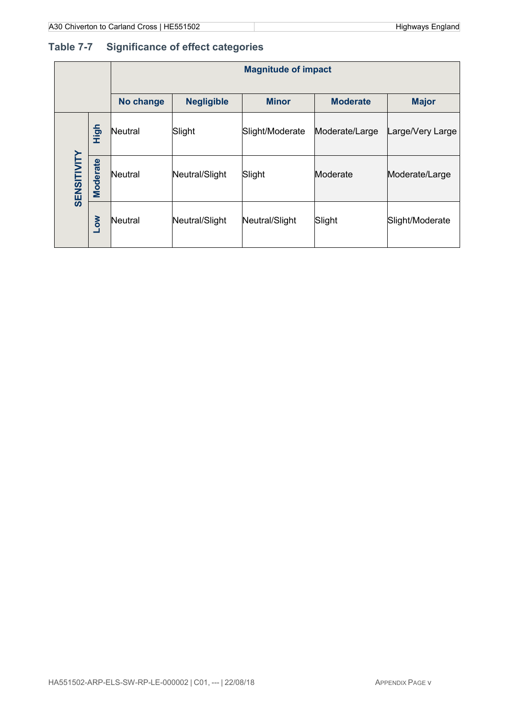# **Table 7-7 Significance of effect categories**

|             |                 | <b>Magnitude of impact</b> |                   |                 |                 |                  |
|-------------|-----------------|----------------------------|-------------------|-----------------|-----------------|------------------|
|             |                 | No change                  | <b>Negligible</b> | <b>Minor</b>    | <b>Moderate</b> | <b>Major</b>     |
| SENSITIVITY | High            | Neutral                    | Slight            | Slight/Moderate | Moderate/Large  | Large/Very Large |
|             | <b>Moderate</b> | Neutral                    | Neutral/Slight    | Slight          | Moderate        | Moderate/Large   |
|             | <b>NOT</b>      | Neutral                    | Neutral/Slight    | Neutral/Slight  | Slight          | Slight/Moderate  |